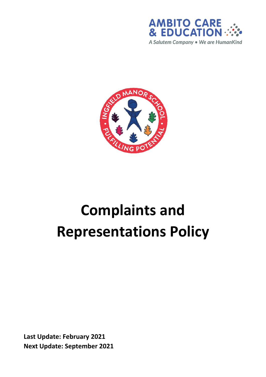



# **Complaints and Representations Policy**

**Last Update: February 2021 Next Update: September 2021**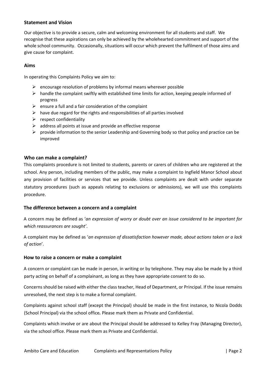#### **Statement and Vision**

Our objective is to provide a secure, calm and welcoming environment for all students and staff. We recognise that these aspirations can only be achieved by the wholehearted commitment and support of the whole school community. Occasionally, situations will occur which prevent the fulfilment of those aims and give cause for complaint.

#### **Aims**

In operating this Complaints Policy we aim to:

- $\triangleright$  encourage resolution of problems by informal means wherever possible
- $\triangleright$  handle the complaint swiftly with established time limits for action, keeping people informed of progress
- $\triangleright$  ensure a full and a fair consideration of the complaint
- $\triangleright$  have due regard for the rights and responsibilities of all parties involved
- $\triangleright$  respect confidentiality
- $\triangleright$  address all points at issue and provide an effective response
- $\triangleright$  provide information to the senior Leadership and Governing body so that policy and practice can be improved

#### **Who can make a complaint?**

This complaints procedure is not limited to students, parents or carers of children who are registered at the school. Any person, including members of the public, may make a complaint to Ingfield Manor School about any provision of facilities or services that we provide. Unless complaints are dealt with under separate statutory procedures (such as appeals relating to exclusions or admissions), we will use this complaints procedure.

#### **The difference between a concern and a complaint**

A concern may be defined as '*an expression of worry or doubt over an issue considered to be important for which reassurances are sought'*.

A complaint may be defined as '*an expression of dissatisfaction however made, about actions taken or a lack of action*'.

#### **How to raise a concern or make a complaint**

A concern or complaint can be made in person, in writing or by telephone. They may also be made by a third party acting on behalf of a complainant, as long as they have appropriate consent to do so.

Concerns should be raised with either the class teacher, Head of Department, or Principal. If the issue remains unresolved, the next step is to make a formal complaint.

Complaints against school staff (except the Principal) should be made in the first instance, to Nicola Dodds (School Principal) via the school office*.* Please mark them as Private and Confidential.

Complaints which involve or are about the Principal should be addressed to Kelley Fray (Managing Director), via the school office. Please mark them as Private and Confidential.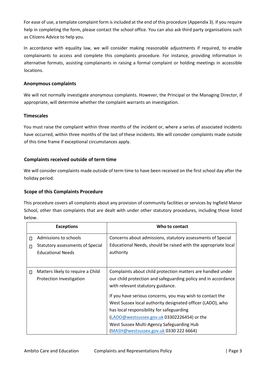For ease of use, a template complaint form is included at the end of this procedure (Appendix 3). If you require help in completing the form, please contact the school office. You can also ask third party organisations such as Citizens Advice to help you.

In accordance with equality law, we will consider making reasonable adjustments if required, to enable complainants to access and complete this complaints procedure. For instance, providing information in alternative formats, assisting complainants in raising a formal complaint or holding meetings in accessible locations.

#### **Anonymous complaints**

We will not normally investigate anonymous complaints. However, the Principal or the Managing Director, if appropriate, will determine whether the complaint warrants an investigation.

#### **Timescales**

You must raise the complaint within three months of the incident or, where a series of associated incidents have occurred, within three months of the last of these incidents. We will consider complaints made outside of this time frame if exceptional circumstances apply.

#### **Complaints received outside of term time**

We will consider complaints made outside of term time to have been received on the first school day after the holiday period.

#### **Scope of this Complaints Procedure**

This procedure covers all complaints about any provision of community facilities or services by Ingfield Manor School, other than complaints that are dealt with under other statutory procedures, including those listed below.

|        | <b>Exceptions</b>                                                                     | Who to contact                                                                                                                                                                                                                                                                                             |
|--------|---------------------------------------------------------------------------------------|------------------------------------------------------------------------------------------------------------------------------------------------------------------------------------------------------------------------------------------------------------------------------------------------------------|
| П<br>П | Admissions to schools<br>Statutory assessments of Special<br><b>Educational Needs</b> | Concerns about admissions, statutory assessments of Special<br>Educational Needs, should be raised with the appropriate local<br>authority                                                                                                                                                                 |
| $\Box$ | Matters likely to require a Child<br>Protection Investigation                         | Complaints about child protection matters are handled under<br>our child protection and safeguarding policy and in accordance<br>with relevant statutory guidance.                                                                                                                                         |
|        |                                                                                       | If you have serious concerns, you may wish to contact the<br>West Sussex local authority designated officer (LADO), who<br>has local responsibility for safeguarding<br>(LADO@westsussex.gov.uk 03302226454) or the<br>West Sussex Multi-Agency Safeguarding Hub<br>(MASH@westsussex.gov.uk 0330 222 6664) |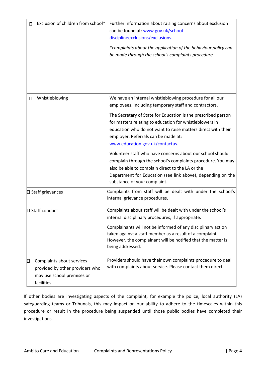| Exclusion of children from school*<br>п                                     | Further information about raising concerns about exclusion<br>can be found at: www.gov.uk/school-<br>discipline exclusions/exclusions.<br>*complaints about the application of the behaviour policy can<br>be made through the school's complaints procedure.                                                                                                                                                                                                                                                                                                                                                                                                          |
|-----------------------------------------------------------------------------|------------------------------------------------------------------------------------------------------------------------------------------------------------------------------------------------------------------------------------------------------------------------------------------------------------------------------------------------------------------------------------------------------------------------------------------------------------------------------------------------------------------------------------------------------------------------------------------------------------------------------------------------------------------------|
| Whistleblowing<br>□                                                         | We have an internal whistleblowing procedure for all our<br>employees, including temporary staff and contractors.<br>The Secretary of State for Education is the prescribed person<br>for matters relating to education for whistleblowers in<br>education who do not want to raise matters direct with their<br>employer. Referrals can be made at:<br>www.education.gov.uk/contactus.<br>Volunteer staff who have concerns about our school should<br>complain through the school's complaints procedure. You may<br>also be able to complain direct to the LA or the<br>Department for Education (see link above), depending on the<br>substance of your complaint. |
| □ Staff grievances                                                          | Complaints from staff will be dealt with under the school's<br>internal grievance procedures.                                                                                                                                                                                                                                                                                                                                                                                                                                                                                                                                                                          |
| □ Staff conduct<br>Complaints about services<br>О                           | Complaints about staff will be dealt with under the school's<br>internal disciplinary procedures, if appropriate.<br>Complainants will not be informed of any disciplinary action<br>taken against a staff member as a result of a complaint.<br>However, the complainant will be notified that the matter is<br>being addressed.<br>Providers should have their own complaints procedure to deal                                                                                                                                                                                                                                                                      |
| provided by other providers who<br>may use school premises or<br>facilities | with complaints about service. Please contact them direct.                                                                                                                                                                                                                                                                                                                                                                                                                                                                                                                                                                                                             |

If other bodies are investigating aspects of the complaint, for example the police, local authority (LA) safeguarding teams or Tribunals, this may impact on our ability to adhere to the timescales within this procedure or result in the procedure being suspended until those public bodies have completed their investigations.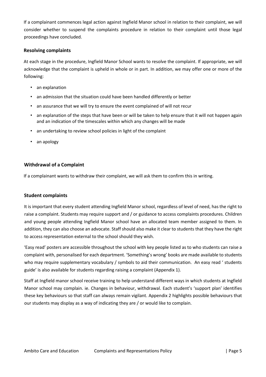If a complainant commences legal action against Ingfield Manor school in relation to their complaint, we will consider whether to suspend the complaints procedure in relation to their complaint until those legal proceedings have concluded.

#### **Resolving complaints**

At each stage in the procedure, Ingfield Manor School wants to resolve the complaint. If appropriate, we will acknowledge that the complaint is upheld in whole or in part. In addition, we may offer one or more of the following:

- an explanation
- an admission that the situation could have been handled differently or better
- an assurance that we will try to ensure the event complained of will not recur
- an explanation of the steps that have been or will be taken to help ensure that it will not happen again and an indication of the timescales within which any changes will be made
- an undertaking to review school policies in light of the complaint
- an apology

#### **Withdrawal of a Complaint**

If a complainant wants to withdraw their complaint, we will ask them to confirm this in writing.

#### **Student complaints**

It is important that every student attending Ingfield Manor school, regardless of level of need, has the right to raise a complaint. Students may require support and / or guidance to access complaints procedures. Children and young people attending Ingfield Manor school have an allocated team member assigned to them. In addition, they can also choose an advocate. Staff should also make it clear to students that they have the right to access representation external to the school should they wish.

'Easy read' posters are accessible throughout the school with key people listed as to who students can raise a complaint with, personalised for each department. 'Something's wrong' books are made available to students who may require supplementary vocabulary / symbols to aid their communication. An easy read ' students guide' is also available for students regarding raising a complaint (Appendix 1).

Staff at Ingfield manor school receive training to help understand different ways in which students at Ingfield Manor school may complain. ie. Changes in behaviour, withdrawal. Each student's 'support plan' identifies these key behaviours so that staff can always remain vigilant. Appendix 2 highlights possible behaviours that our students may display as a way of indicating they are / or would like to complain.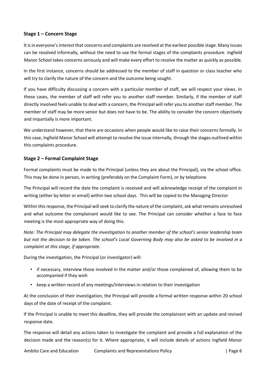#### **Stage 1 – Concern Stage**

It is in everyone's interest that concerns and complaints are resolved at the earliest possible stage. Many issues can be resolved informally, without the need to use the formal stages of the complaints procedure. Ingfield Manor School takes concerns seriously and will make every effort to resolve the matter as quickly as possible.

In the first instance, concerns should be addressed to the member of staff in question or class teacher who will try to clarify the nature of the concern and the outcome being sought.

If you have difficulty discussing a concern with a particular member of staff, we will respect your views. In these cases, the member of staff will refer you to another staff member. Similarly, if the member of staff directly involved feels unable to deal with a concern, the Principal will refer you to another staff member. The member of staff may be more senior but does not have to be. The ability to consider the concern objectively and impartially is more important.

We understand however, that there are occasions when people would like to raise their concerns formally. In this case, Ingfield Manor School will attempt to resolve the issue internally, through the stages outlined within this complaints procedure.

#### **Stage 2 – Formal Complaint Stage**

Formal complaints must be made to the Principal (unless they are about the Principal), via the school office. This may be done in person, in writing (preferably on the Complaint Form), or by telephone.

The Principal will record the date the complaint is received and will acknowledge receipt of the complaint in writing (either by letter or email) within two school days. This will be copied to the Managing Director

Within this response, the Principal will seek to clarify the nature of the complaint, ask what remains unresolved and what outcome the complainant would like to see. The Principal can consider whether a face to face meeting is the most appropriate way of doing this.

*Note: The Principal may delegate the investigation to another member of the school's senior leadership team but not the decision to be taken. The school's Local Governing Body may also be asked to be involved in a complaint at this stage, if appropriate.* 

During the investigation, the Principal (or investigator) will:

- if necessary, interview those involved in the matter and/or those complained of, allowing them to be accompanied if they wish
- keep a written record of any meetings/interviews in relation to their investigation

At the conclusion of their investigation, the Principal will provide a formal written response within 20 school days of the date of receipt of the complaint.

If the Principal is unable to meet this deadline, they will provide the complainant with an update and revised response date.

The response will detail any actions taken to investigate the complaint and provide a full explanation of the decision made and the reason(s) for it. Where appropriate, it will include details of actions Ingfield Manor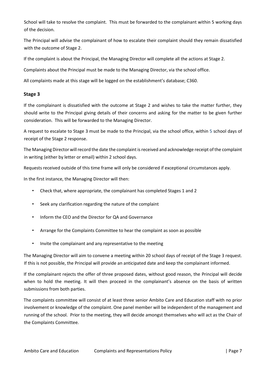School will take to resolve the complaint. This must be forwarded to the complainant within 5 working days of the decision.

The Principal will advise the complainant of how to escalate their complaint should they remain dissatisfied with the outcome of Stage 2.

If the complaint is about the Principal, the Managing Director will complete all the actions at Stage 2.

Complaints about the Principal must be made to the Managing Director, via the school office.

All complaints made at this stage will be logged on the establishment's database; C360.

#### **Stage 3**

If the complainant is dissatisfied with the outcome at Stage 2 and wishes to take the matter further, they should write to the Principal giving details of their concerns and asking for the matter to be given further consideration. This will be forwarded to the Managing Director.

A request to escalate to Stage 3 must be made to the Principal, via the school office, within 5 school days of receipt of the Stage 2 response.

The Managing Director will record the date the complaint is received and acknowledge receipt of the complaint in writing (either by letter or email) within 2 school days.

Requests received outside of this time frame will only be considered if exceptional circumstances apply.

In the first instance, the Managing Director will then:

- Check that, where appropriate, the complainant has completed Stages 1 and 2
- Seek any clarification regarding the nature of the complaint
- Inform the CEO and the Director for QA and Governance
- Arrange for the Complaints Committee to hear the complaint as soon as possible
- Invite the complainant and any representative to the meeting

The Managing Director will aim to convene a meeting within 20 school days of receipt of the Stage 3 request. If this is not possible, the Principal will provide an anticipated date and keep the complainant informed.

If the complainant rejects the offer of three proposed dates, without good reason, the Principal will decide when to hold the meeting. It will then proceed in the complainant's absence on the basis of written submissions from both parties.

The complaints committee will consist of at least three senior Ambito Care and Education staff with no prior involvement or knowledge of the complaint. One panel member will be independent of the management and running of the school. Prior to the meeting, they will decide amongst themselves who will act as the Chair of the Complaints Committee.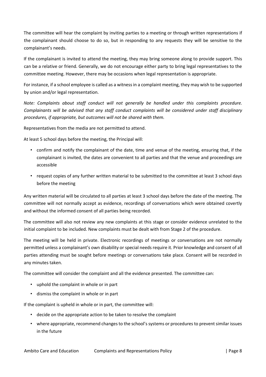The committee will hear the complaint by inviting parties to a meeting or through written representations if the complainant should choose to do so, but in responding to any requests they will be sensitive to the complainant's needs.

If the complainant is invited to attend the meeting, they may bring someone along to provide support. This can be a relative or friend. Generally, we do not encourage either party to bring legal representatives to the committee meeting. However, there may be occasions when legal representation is appropriate.

For instance, if a school employee is called as a witness in a complaint meeting, they may wish to be supported by union and/or legal representation.

*Note: Complaints about staff conduct will not generally be handled under this complaints procedure. Complainants will be advised that any staff conduct complaints will be considered under staff disciplinary procedures, if appropriate, but outcomes will not be shared with them.* 

Representatives from the media are not permitted to attend.

At least 5 school days before the meeting, the Principal will:

- confirm and notify the complainant of the date, time and venue of the meeting, ensuring that, if the complainant is invited, the dates are convenient to all parties and that the venue and proceedings are accessible
- request copies of any further written material to be submitted to the committee at least 3 school days before the meeting

Any written material will be circulated to all parties at least 3 school days before the date of the meeting. The committee will not normally accept as evidence, recordings of conversations which were obtained covertly and without the informed consent of all parties being recorded.

The committee will also not review any new complaints at this stage or consider evidence unrelated to the initial complaint to be included. New complaints must be dealt with from Stage 2 of the procedure.

The meeting will be held in private. Electronic recordings of meetings or conversations are not normally permitted unless a complainant's own disability or special needs require it. Prior knowledge and consent of all parties attending must be sought before meetings or conversations take place. Consent will be recorded in any minutes taken.

The committee will consider the complaint and all the evidence presented. The committee can:

- uphold the complaint in whole or in part
- dismiss the complaint in whole or in part

If the complaint is upheld in whole or in part, the committee will:

- decide on the appropriate action to be taken to resolve the complaint
- where appropriate, recommend changes to the school's systems or procedures to prevent similar issues in the future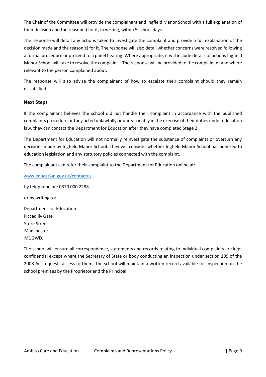The Chair of the Committee will provide the complainant and Ingfield Manor School with a full explanation of their decision and the reason(s) for it, in writing, within 5 school days.

The response will detail any actions taken to investigate the complaint and provide a full explanation of the decision made and the reason(s) for it. The response will also detail whether concerns were resolved following a formal procedure or proceed to a panel hearing. Where appropriate, it will include details of actions Ingfield Manor School will take to resolve the complaint. The response will be provided to the complainant and where relevant to the person complained about.

The response will also advise the complainant of how to escalate their complaint should they remain dissatisfied.

#### **Next Steps**

If the complainant believes the school did not handle their complaint in accordance with the published complaints procedure or they acted unlawfully or unreasonably in the exercise of their duties under education law, they can contact the Department for Education after they have completed Stage 2.

The Department for Education will not normally reinvestigate the substance of complaints or overturn any decisions made by Ingfield Manor School. They will consider whether Ingfield Manor School has adhered to education legislation and any statutory policies connected with the complaint.

The complainant can refer their complaint to the Department for Education online at:

[www.education.gov.uk/contactus,](http://www.education.gov.uk/contactus)

by telephone on: 0370 000 2288 or by writing to: Department for Education Piccadilly Gate Store Street Manchester M1 2WD.

The school will ensure all correspondence, statements and records relating to individual complaints are kept confidential except where the Secretary of State or body conducting an inspection under section 109 of the 2008 Act requests access to them. The school will maintain a written record available for inspection on the school premises by the Proprietor and the Principal.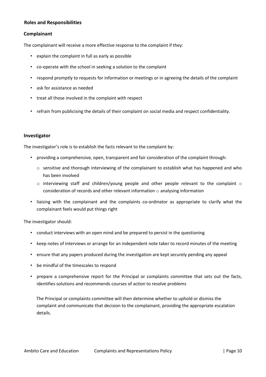#### **Roles and Responsibilities**

#### **Complainant**

The complainant will receive a more effective response to the complaint if they:

- explain the complaint in full as early as possible
- co-operate with the school in seeking a solution to the complaint
- respond promptly to requests for information or meetings or in agreeing the details of the complaint
- ask for assistance as needed
- treat all those involved in the complaint with respect
- refrain from publicising the details of their complaint on social media and respect confidentiality.

#### **Investigator**

The investigator's role is to establish the facts relevant to the complaint by:

- providing a comprehensive, open, transparent and fair consideration of the complaint through:
	- o sensitive and thorough interviewing of the complainant to establish what has happened and who has been involved
	- o interviewing staff and children/young people and other people relevant to the complaint o consideration of records and other relevant information  $\circ$  analysing information
- liaising with the complainant and the complaints co-ordinator as appropriate to clarify what the complainant feels would put things right

The investigator should:

- conduct interviews with an open mind and be prepared to persist in the questioning
- keep notes of interviews or arrange for an independent note taker to record minutes of the meeting
- ensure that any papers produced during the investigation are kept securely pending any appeal
- be mindful of the timescales to respond
- prepare a comprehensive report for the Principal or complaints committee that sets out the facts, identifies solutions and recommends courses of action to resolve problems

The Principal or complaints committee will then determine whether to uphold or dismiss the complaint and communicate that decision to the complainant, providing the appropriate escalation details.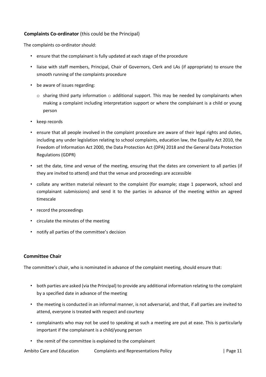#### **Complaints Co-ordinator** (this could be the Principal)

The complaints co-ordinator should:

- ensure that the complainant is fully updated at each stage of the procedure
- liaise with staff members, Principal, Chair of Governors, Clerk and LAs (if appropriate) to ensure the smooth running of the complaints procedure
- be aware of issues regarding:
	- $\circ$  sharing third party information  $\circ$  additional support. This may be needed by complainants when making a complaint including interpretation support or where the complainant is a child or young person
- keep records
- ensure that all people involved in the complaint procedure are aware of their legal rights and duties, including any under legislation relating to school complaints, education law, the Equality Act 2010, the Freedom of Information Act 2000, the Data Protection Act (DPA) 2018 and the General Data Protection Regulations (GDPR)
- set the date, time and venue of the meeting, ensuring that the dates are convenient to all parties (if they are invited to attend) and that the venue and proceedings are accessible
- collate any written material relevant to the complaint (for example; stage 1 paperwork, school and complainant submissions) and send it to the parties in advance of the meeting within an agreed timescale
- record the proceedings
- circulate the minutes of the meeting
- notify all parties of the committee's decision

#### **Committee Chair**

The committee's chair, who is nominated in advance of the complaint meeting, should ensure that:

- both parties are asked (via the Principal) to provide any additional information relating to the complaint by a specified date in advance of the meeting
- the meeting is conducted in an informal manner, is not adversarial, and that, if all parties are invited to attend, everyone is treated with respect and courtesy
- complainants who may not be used to speaking at such a meeting are put at ease. This is particularly important if the complainant is a child/young person
- the remit of the committee is explained to the complainant

Ambito Care and Education Complaints and Representations Policy | Page 11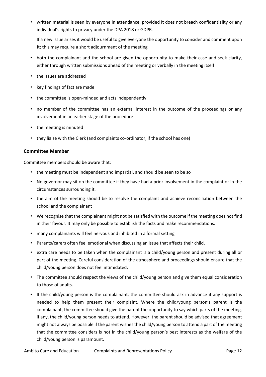• written material is seen by everyone in attendance, provided it does not breach confidentiality or any individual's rights to privacy under the DPA 2018 or GDPR.

If a new issue arises it would be useful to give everyone the opportunity to consider and comment upon it; this may require a short adjournment of the meeting

- both the complainant and the school are given the opportunity to make their case and seek clarity, either through written submissions ahead of the meeting or verbally in the meeting itself
- the issues are addressed
- key findings of fact are made
- the committee is open-minded and acts independently
- no member of the committee has an external interest in the outcome of the proceedings or any involvement in an earlier stage of the procedure
- the meeting is minuted
- they liaise with the Clerk (and complaints co-ordinator, if the school has one)

#### **Committee Member**

Committee members should be aware that:

- the meeting must be independent and impartial, and should be seen to be so
- No governor may sit on the committee if they have had a prior involvement in the complaint or in the circumstances surrounding it.
- the aim of the meeting should be to resolve the complaint and achieve reconciliation between the school and the complainant
- We recognise that the complainant might not be satisfied with the outcome if the meeting does not find in their favour. It may only be possible to establish the facts and make recommendations.
- many complainants will feel nervous and inhibited in a formal setting
- Parents/carers often feel emotional when discussing an issue that affects their child.
- extra care needs to be taken when the complainant is a child/young person and present during all or part of the meeting. Careful consideration of the atmosphere and proceedings should ensure that the child/young person does not feel intimidated.
- The committee should respect the views of the child/young person and give them equal consideration to those of adults.
- If the child/young person is the complainant, the committee should ask in advance if any support is needed to help them present their complaint. Where the child/young person's parent is the complainant, the committee should give the parent the opportunity to say which parts of the meeting, if any, the child/young person needs to attend. However, the parent should be advised that agreement might not always be possible if the parent wishes the child/young person to attend a part of the meeting that the committee considers is not in the child/young person's best interests as the welfare of the child/young person is paramount.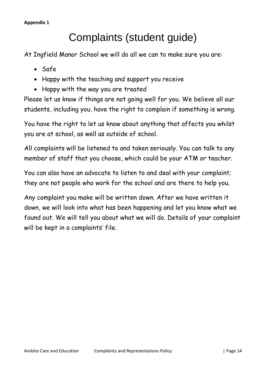# Complaints (student guide)

At Ingfield Manor School we will do all we can to make sure you are:

- Safe
- Happy with the teaching and support you receive
- Happy with the way you are treated

Please let us know if things are not going well for you. We believe all our students, including you, have the right to complain if something is wrong.

You have the right to let us know about anything that affects you whilst you are at school, as well as outside of school.

All complaints will be listened to and taken seriously. You can talk to any member of staff that you choose, which could be your ATM or teacher.

You can also have an advocate to listen to and deal with your complaint; they are not people who work for the school and are there to help you.

Any complaint you make will be written down. After we have written it down, we will look into what has been happening and let you know what we found out. We will tell you about what we will do. Details of your complaint will be kept in a complaints' file.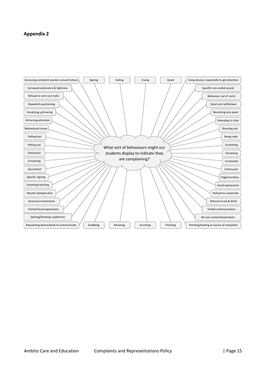#### **Appendix 2**

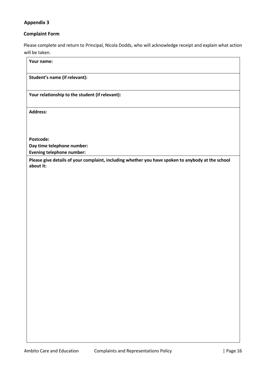### **Appendix 3**

## **Complaint Form**

Please complete and return to Principal, Nicola Dodds, who will acknowledge receipt and explain what action will be taken.

| Your name:                                                                                                     |
|----------------------------------------------------------------------------------------------------------------|
| Student's name (if relevant):                                                                                  |
| Your relationship to the student (if relevant):                                                                |
| <b>Address:</b>                                                                                                |
|                                                                                                                |
| Postcode:                                                                                                      |
| Day time telephone number:                                                                                     |
| <b>Evening telephone number:</b>                                                                               |
| Please give details of your complaint, including whether you have spoken to anybody at the school<br>about it: |
|                                                                                                                |
|                                                                                                                |
|                                                                                                                |
|                                                                                                                |
|                                                                                                                |
|                                                                                                                |
|                                                                                                                |
|                                                                                                                |
|                                                                                                                |
|                                                                                                                |
|                                                                                                                |
|                                                                                                                |
|                                                                                                                |
|                                                                                                                |
|                                                                                                                |
|                                                                                                                |
|                                                                                                                |
|                                                                                                                |
|                                                                                                                |
|                                                                                                                |